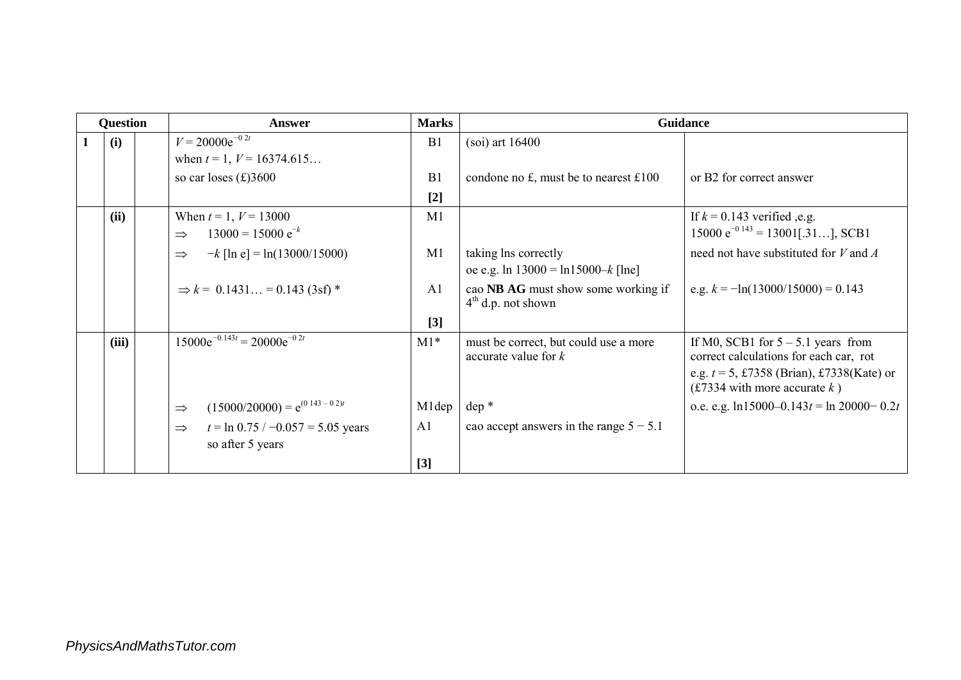| <b>Question</b> |       | Answer                                                                    |                | <b>Guidance</b>                                             |                                                                                 |
|-----------------|-------|---------------------------------------------------------------------------|----------------|-------------------------------------------------------------|---------------------------------------------------------------------------------|
|                 | (i)   | $V = 20000e^{-0.2t}$                                                      | B1             | $(soi)$ art $16400$                                         |                                                                                 |
|                 |       | when $t = 1$ , $V = 16374.615$                                            |                |                                                             |                                                                                 |
|                 |       | so car loses $(\text{\pounds})3600$                                       | B <sub>1</sub> | condone no £, must be to nearest £100                       | or B2 for correct answer                                                        |
|                 |       |                                                                           | $[2]$          |                                                             |                                                                                 |
|                 | (ii)  | When $t = 1$ , $V = 13000$                                                | M1             |                                                             | If $k = 0.143$ verified ,e.g.                                                   |
|                 |       | $13000 = 15000 e^{-k}$<br>$\Rightarrow$                                   |                |                                                             | $15000 \text{ e}^{-0.143} = 13001$ [.31], SCB1                                  |
|                 |       | $-k$ [ln e] = ln(13000/15000)<br>$\Rightarrow$                            | M1             | taking lns correctly                                        | need not have substituted for $V$ and $A$                                       |
|                 |       |                                                                           |                | oe e.g. ln $13000 = \ln 15000 - k$ [lne]                    |                                                                                 |
|                 |       | $\Rightarrow k = 0.1431 = 0.143$ (3sf) *                                  | A <sub>1</sub> | cao NB AG must show some working if<br>$4th$ d.p. not shown | e.g. $k = -\ln(13000/15000) = 0.143$                                            |
|                 |       |                                                                           | $[3]$          |                                                             |                                                                                 |
|                 | (iii) | $15000e^{-0.143t} = 20000e^{-0.2t}$                                       | $M1*$          | must be correct, but could use a more                       | If M0, SCB1 for $5 - 5.1$ years from                                            |
|                 |       |                                                                           |                | accurate value for $k$                                      | correct calculations for each car, rot                                          |
|                 |       |                                                                           |                |                                                             | e.g. $t = 5$ , £7358 (Brian), £7338(Kate) or<br>(£7334 with more accurate $k$ ) |
|                 |       | $(15000/20000) = e^{(0.143 - 0.2)t}$<br>$\Rightarrow$                     | M1dep          | $dep*$                                                      | o.e. e.g. $\ln 15000 - 0.143t = \ln 20000 - 0.2t$                               |
|                 |       | $t = \ln 0.75 / -0.057 = 5.05$ years<br>$\Rightarrow$<br>so after 5 years | A <sub>1</sub> | cao accept answers in the range $5 - 5.1$                   |                                                                                 |
|                 |       |                                                                           | $[3]$          |                                                             |                                                                                 |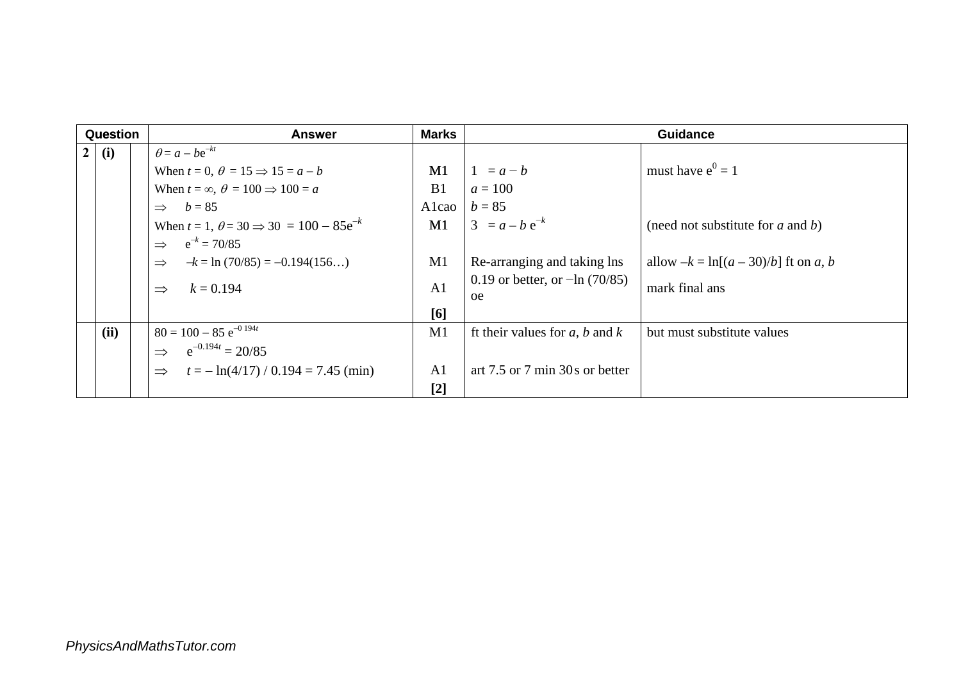|                | Question |  | <b>Answer</b>                                                |                | <b>Marks</b><br><b>Guidance</b>                      |                                        |  |
|----------------|----------|--|--------------------------------------------------------------|----------------|------------------------------------------------------|----------------------------------------|--|
| 2 <sup>1</sup> | (i)      |  | $\theta = a - be^{-kt}$                                      |                |                                                      |                                        |  |
|                |          |  | When $t = 0$ , $\theta = 15 \Rightarrow 15 = a - b$          | M1             | $1 = a - b$                                          | must have $e^0 = 1$                    |  |
|                |          |  | When $t = \infty$ , $\theta = 100 \Rightarrow 100 = a$       | B1             | $a = 100$                                            |                                        |  |
|                |          |  | $\Rightarrow b = 85$                                         | Alcao          | $b = 85$                                             |                                        |  |
|                |          |  | When $t = 1$ , $\theta = 30 \Rightarrow 30 = 100 - 85e^{-k}$ | M1             | $3 = a - b e^{-k}$                                   | (need not substitute for $a$ and $b$ ) |  |
|                |          |  | $e^{-k} = 70/85$<br>$\Rightarrow$                            |                |                                                      |                                        |  |
|                |          |  | $-k = \ln (70/85) = -0.194(156)$<br>$\Rightarrow$            | M1             | Re-arranging and taking lns                          | allow $-k = \ln[(a-30)/b]$ ft on a, b  |  |
|                |          |  | $k = 0.194$<br>$\Rightarrow$                                 | A <sub>1</sub> | 0.19 or better, or $-\ln(70/85)$<br><sub>oe</sub>    | mark final ans                         |  |
|                |          |  |                                                              | [6]            |                                                      |                                        |  |
|                | (ii)     |  | $80 = 100 - 85 e^{-0.194t}$                                  | M1             | ft their values for a, b and k                       | but must substitute values             |  |
|                |          |  | $e^{-0.194t} = 20/85$<br>$\Rightarrow$                       |                |                                                      |                                        |  |
|                |          |  | $t = -\ln(4/17) / 0.194 = 7.45$ (min)<br>$\Rightarrow$       | A <sub>1</sub> | art $7.5$ or $7 \text{ min } 30 \text{ s}$ or better |                                        |  |
|                |          |  |                                                              | $[2]$          |                                                      |                                        |  |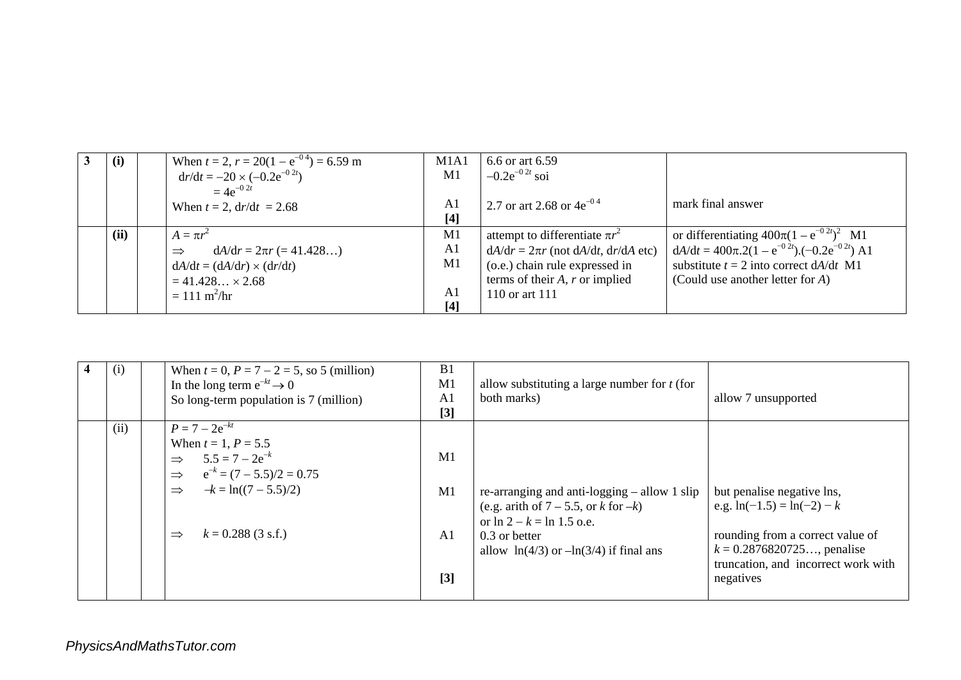| (i)  | When $t = 2$ , $r = 20(1 - e^{-0.4}) = 6.59$ m | M <sub>1</sub> A <sub>1</sub> | 6.6 or art 6.59                              |                                                            |
|------|------------------------------------------------|-------------------------------|----------------------------------------------|------------------------------------------------------------|
|      | $dr/dt = -20 \times (-0.2e^{-0.2t})$           | M1                            | $-0.2e^{-0.2t}$ soi                          |                                                            |
|      | $=4e^{-0.2t}$                                  |                               |                                              |                                                            |
|      | When $t = 2$ , $dr/dt = 2.68$                  | A1                            | 2.7 or art 2.68 or $4e^{-0.4}$               | mark final answer                                          |
|      |                                                | $[4]$                         |                                              |                                                            |
| (ii) | $A = \pi r^2$                                  | M <sub>1</sub>                | attempt to differentiate $\pi r^2$           | or differentiating $400\pi(1-e^{-0.2t})^2$ M1              |
|      | $dA/dr = 2\pi r (= 41.428)$<br>$\Rightarrow$   | A <sub>1</sub>                | $dA/dr = 2\pi r$ (not $dA/dt$ , $dr/dA$ etc) | $dA/dt = 400\pi.2(1 - e^{-0.2t}) \cdot (-0.2e^{-0.2t})$ A1 |
|      | $dA/dt = (dA/dr) \times (dr/dt)$               | M <sub>1</sub>                | (o.e.) chain rule expressed in               | substitute $t = 2$ into correct $dA/dt$ M1                 |
|      | $= 41.428 \times 2.68$                         |                               | terms of their $A$ , $r$ or implied          | (Could use another letter for $A$ )                        |
|      | $= 111 \text{ m}^2/\text{hr}$                  | A1                            | 110 or art 111                               |                                                            |
|      |                                                | $[4]$                         |                                              |                                                            |

| $\overline{\mathbf{4}}$ | $\left(1\right)$ | When $t = 0$ , $P = 7 - 2 = 5$ , so 5 (million)<br>In the long term $e^{-kt} \rightarrow 0$<br>So long-term population is 7 (million)                                                                                        | B <sub>1</sub><br>M1<br>A <sub>1</sub><br>$[3]$ | allow substituting a large number for $t$ (for<br>both marks)                                                                                                                                | allow 7 unsupported                                                                                                                                                                 |
|-------------------------|------------------|------------------------------------------------------------------------------------------------------------------------------------------------------------------------------------------------------------------------------|-------------------------------------------------|----------------------------------------------------------------------------------------------------------------------------------------------------------------------------------------------|-------------------------------------------------------------------------------------------------------------------------------------------------------------------------------------|
|                         | (ii)             | $P = 7 - 2e^{-kt}$<br>When $t = 1$ , $P = 5.5$<br>$5.5 = 7 - 2e^{-k}$<br>$\Rightarrow$<br>$e^{-k} = (7 - 5.5)/2 = 0.75$<br>$\Rightarrow$<br>$-k = ln((7 – 5.5)/2)$<br>$\Rightarrow$<br>$k = 0.288$ (3 s.f.)<br>$\Rightarrow$ | M1<br>M1<br>A <sub>1</sub><br>[3]               | re-arranging and anti-logging $-$ allow 1 slip<br>(e.g. arith of $7-5.5$ , or k for $-k$ )<br>or $\ln 2 - k = \ln 1.5$ o.e.<br>0.3 or better<br>allow $\ln(4/3)$ or $-\ln(3/4)$ if final ans | but penalise negative lns,<br>e.g. $ln(-1.5) = ln(-2) - k$<br>rounding from a correct value of<br>$k = 0.2876820725$ , penalise<br>truncation, and incorrect work with<br>negatives |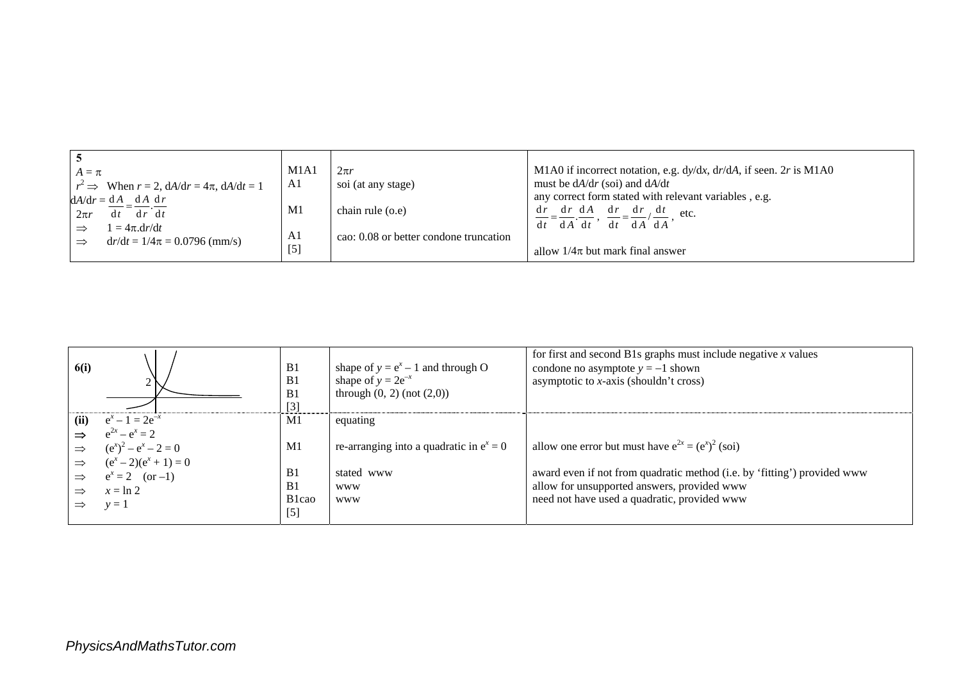| $A = \pi$<br>$r^2 \implies$ When $r = 2$ , $dA/dr = 4\pi$ , $dA/dt = 1$<br>$dA/dr = dA \ dA \ dr$<br>$dt = dr^{\dagger} dt$<br>$2\pi r$<br>$1 = 4\pi \frac{dr}{dt}$<br>$\Rightarrow$<br>$dr/dt = 1/4\pi = 0.0796$ (mm/s)<br>$\Rightarrow$ | M1A1<br>A1<br>M1<br>A1<br>$[5]$ | $2\pi r$<br>soi (at any stage)<br>chain rule (o.e)<br>cao: 0.08 or better condone truncation | M1A0 if incorrect notation, e.g. $dy/dx$ , $dr/dA$ , if seen. 2r is M1A0<br>must be $dA/dr$ (soi) and $dA/dt$<br>any correct form stated with relevant variables, e.g.<br>$\frac{dr}{dt} = \frac{dr}{dt} \frac{dA}{dt}$ , $\frac{dr}{dt} = \frac{dr}{dt} \frac{dt}{dt}$ etc.<br>$dt$ $dA' dA$<br>$dt$ d <i>A</i> d <i>t</i><br>allow $1/4\pi$ but mark final answer |
|-------------------------------------------------------------------------------------------------------------------------------------------------------------------------------------------------------------------------------------------|---------------------------------|----------------------------------------------------------------------------------------------|---------------------------------------------------------------------------------------------------------------------------------------------------------------------------------------------------------------------------------------------------------------------------------------------------------------------------------------------------------------------|
|-------------------------------------------------------------------------------------------------------------------------------------------------------------------------------------------------------------------------------------------|---------------------------------|----------------------------------------------------------------------------------------------|---------------------------------------------------------------------------------------------------------------------------------------------------------------------------------------------------------------------------------------------------------------------------------------------------------------------------------------------------------------------|

|               |                          |                    |                                            | for first and second B1s graphs must include negative $x$ values         |
|---------------|--------------------------|--------------------|--------------------------------------------|--------------------------------------------------------------------------|
| <b>6(i)</b>   |                          | B1                 | shape of $y = e^x - 1$ and through O       | condone no asymptote $y = -1$ shown                                      |
|               |                          | B <sub>1</sub>     | shape of $y = 2e^{-x}$                     | asymptotic to $x$ -axis (shouldn't cross)                                |
|               |                          | B <sub>1</sub>     | through $(0, 2)$ (not $(2,0)$ )            |                                                                          |
|               |                          | $\lceil 3 \rceil$  |                                            |                                                                          |
| (ii)          | $e^x - 1 = 2e^{-x}$      | M1                 | equating                                   |                                                                          |
|               | $e^{2x} - e^x = 2$       |                    |                                            |                                                                          |
| $\Rightarrow$ | $(e^x)^2 - e^x - 2 = 0$  | M1                 | re-arranging into a quadratic in $e^x = 0$ | allow one error but must have $e^{2x} = (e^x)^2$ (soi)                   |
| $\Rightarrow$ | $(e^x - 2)(e^x + 1) = 0$ |                    |                                            |                                                                          |
| $\Rightarrow$ | $e^x = 2$ (or -1)        | B <sub>1</sub>     | stated www                                 | award even if not from quadratic method (i.e. by 'fitting') provided www |
|               | $x = \ln 2$              | B <sub>1</sub>     | <b>WWW</b>                                 | allow for unsupported answers, provided www                              |
|               | $v=1$                    | B <sub>1</sub> cao | <b>WWW</b>                                 | need not have used a quadratic, provided www                             |
|               |                          | $[5]$              |                                            |                                                                          |